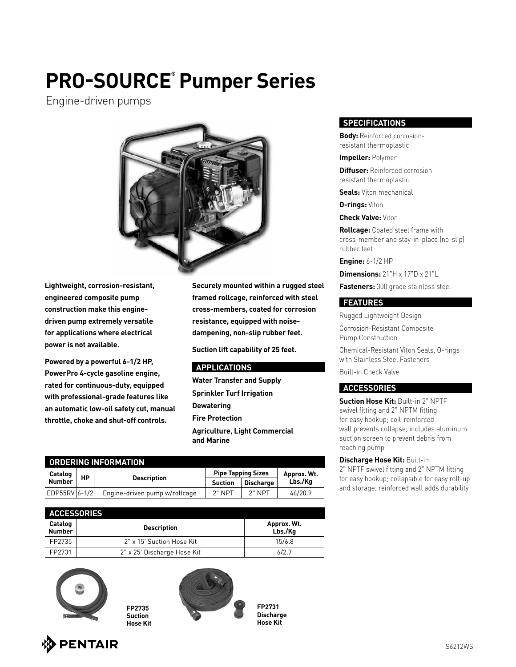## **PRO-SOURCE® Pumper Series**

Engine-driven pumps



**Lightweight, corrosion-resistant, engineered composite pump construction make this enginedriven pump extremely versatile for applications where electrical power is not available.**

**Powered by a powerful 6-1/2 HP, PowerPro 4-cycle gasoline engine, rated for continuous-duty, equipped with professional-grade features like an automatic low-oil safety cut, manual throttle, choke and shut-off controls.**

**Securely mounted within a rugged steel framed rollcage, reinforced with steel cross-members, coated for corrosion resistance, equipped with noisedampening, non-slip rubber feet.**

**Suction lift capability of 25 feet.**

#### **APPLICATIONS**

**Water Transfer and Supply Sprinkler Turf Irrigation Dewatering Fire Protection Agriculture, Light Commercial and Marine**

| <b>ORDERING INFORMATION</b> |    |                               |                           |                  |             |  |
|-----------------------------|----|-------------------------------|---------------------------|------------------|-------------|--|
| Catalog                     | НP | <b>Description</b>            | <b>Pipe Tapping Sizes</b> |                  | Approx. Wt. |  |
| <b>Number</b>               |    |                               | <b>Suction</b>            | <b>Discharge</b> | Lbs./Ka     |  |
| EDP55RV 6-1/2               |    | Engine-driven pump w/rollcage | $2"$ NPT                  | $2"$ NPT         | 46/20.9     |  |

| <b>ACCESSORIES</b>       |                             |                        |  |  |
|--------------------------|-----------------------------|------------------------|--|--|
| Catalog<br><b>Number</b> | <b>Description</b>          | Approx. Wt.<br>Lbs./Ka |  |  |
| FP2735                   | 2" x 15' Suction Hose Kit   | 15/6.8                 |  |  |
| FP2731                   | 2" x 25' Discharge Hose Kit | 6/2.7                  |  |  |

**FP2735 Suction Hose Kit**



**FP2731 Discharge Hose Kit**

#### **SPECIFICATIONS**

**Body:** Reinforced corrosionresistant thermoplastic

**Impeller:** Polymer

**Diffuser:** Reinforced corrosionresistant thermoplastic

**Seals:** Viton mechanical

**O-rings:** Viton

**Check Valve:** Viton

**Rollcage:** Coated steel frame with cross-member and stay-in-place (no-slip) rubber feet

**Engine:** 6-1/2 HP

**Dimensions:** 21"H x 17"D x 21"L

**Fasteners:** 300 grade stainless steel

#### **FEATURES**

Rugged Lightweight Design Corrosion-Resistant Composite Pump Construction

Chemical-Resistant Viton Seals, O-rings with Stainless Steel Fasteners

Built-in Check Valve

#### **ACCESSORIES**

**Suction Hose Kit:** Built-in 2" NPTF  swivel fitting and 2" NPTM fitting for easy hookup; coil-reinforced wall prevents collapse; includes aluminum suction screen to prevent debris from reaching pump

**Discharge Hose Kit:** Built-in 2" NPTF swivel fitting and 2" NPTM fitting for easy hookup; collapsible for easy roll-up and storage; reinforced wall adds durability